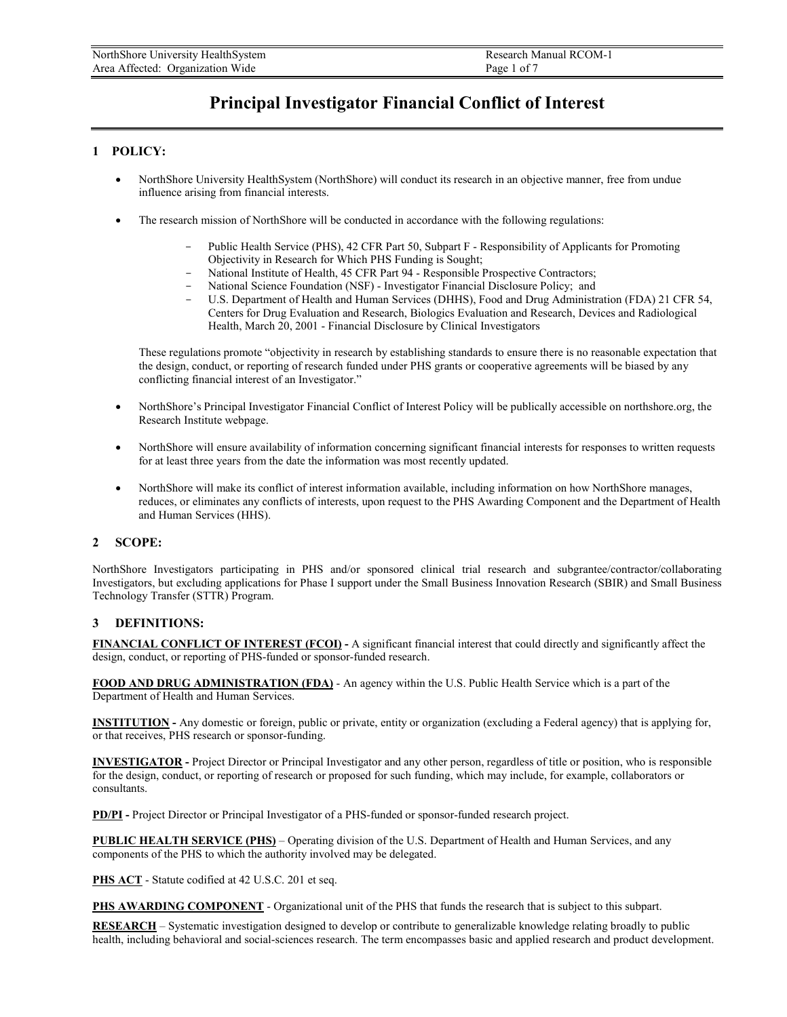# **Principal Investigator Financial Conflict of Interest**

### **1 POLICY:**

- NorthShore University HealthSystem (NorthShore) will conduct its research in an objective manner, free from undue influence arising from financial interests.
- The research mission of NorthShore will be conducted in accordance with the following regulations:
	- Public Health Service (PHS), 42 CFR Part 50, Subpart F Responsibility of Applicants for Promoting Objectivity in Research for Which PHS Funding is Sought;
	- National Institute of Health, 45 CFR Part 94 Responsible Prospective Contractors;
	- National Science Foundation (NSF) Investigator Financial Disclosure Policy; and
	- U.S. Department of Health and Human Services (DHHS), Food and Drug Administration (FDA) 21 CFR 54, Centers for Drug Evaluation and Research, Biologics Evaluation and Research, Devices and Radiological Health, March 20, 2001 - Financial Disclosure by Clinical Investigators

These regulations promote "objectivity in research by establishing standards to ensure there is no reasonable expectation that the design, conduct, or reporting of research funded under PHS grants or cooperative agreements will be biased by any conflicting financial interest of an Investigator."

- NorthShore's Principal Investigator Financial Conflict of Interest Policy will be publically accessible on northshore.org, the Research Institute webpage.
- NorthShore will ensure availability of information concerning significant financial interests for responses to written requests for at least three years from the date the information was most recently updated.
- NorthShore will make its conflict of interest information available, including information on how NorthShore manages, reduces, or eliminates any conflicts of interests, upon request to the PHS Awarding Component and the Department of Health and Human Services (HHS).

### **2 SCOPE:**

NorthShore Investigators participating in PHS and/or sponsored clinical trial research and subgrantee/contractor/collaborating Investigators, but excluding applications for Phase I support under the Small Business Innovation Research (SBIR) and Small Business Technology Transfer (STTR) Program.

### **3 DEFINITIONS:**

**FINANCIAL CONFLICT OF INTEREST (FCOI) -** A significant financial interest that could directly and significantly affect the design, conduct, or reporting of PHS-funded or sponsor-funded research.

**FOOD AND DRUG ADMINISTRATION (FDA)** - An agency within the U.S. Public Health Service which is a part of the Department of Health and Human Services.

**INSTITUTION -** Any domestic or foreign, public or private, entity or organization (excluding a Federal agency) that is applying for, or that receives, PHS research or sponsor-funding.

**INVESTIGATOR -** Project Director or Principal Investigator and any other person, regardless of title or position, who is responsible for the design, conduct, or reporting of research or proposed for such funding, which may include, for example, collaborators or consultants.

**PD/PI -** Project Director or Principal Investigator of a PHS-funded or sponsor-funded research project.

**PUBLIC HEALTH SERVICE (PHS)** – Operating division of the U.S. Department of Health and Human Services, and any components of the PHS to which the authority involved may be delegated.

**PHS ACT** - Statute codified at 42 U.S.C. 201 et seq.

**PHS AWARDING COMPONENT** - Organizational unit of the PHS that funds the research that is subject to this subpart.

**RESEARCH** – Systematic investigation designed to develop or contribute to generalizable knowledge relating broadly to public health, including behavioral and social-sciences research. The term encompasses basic and applied research and product development.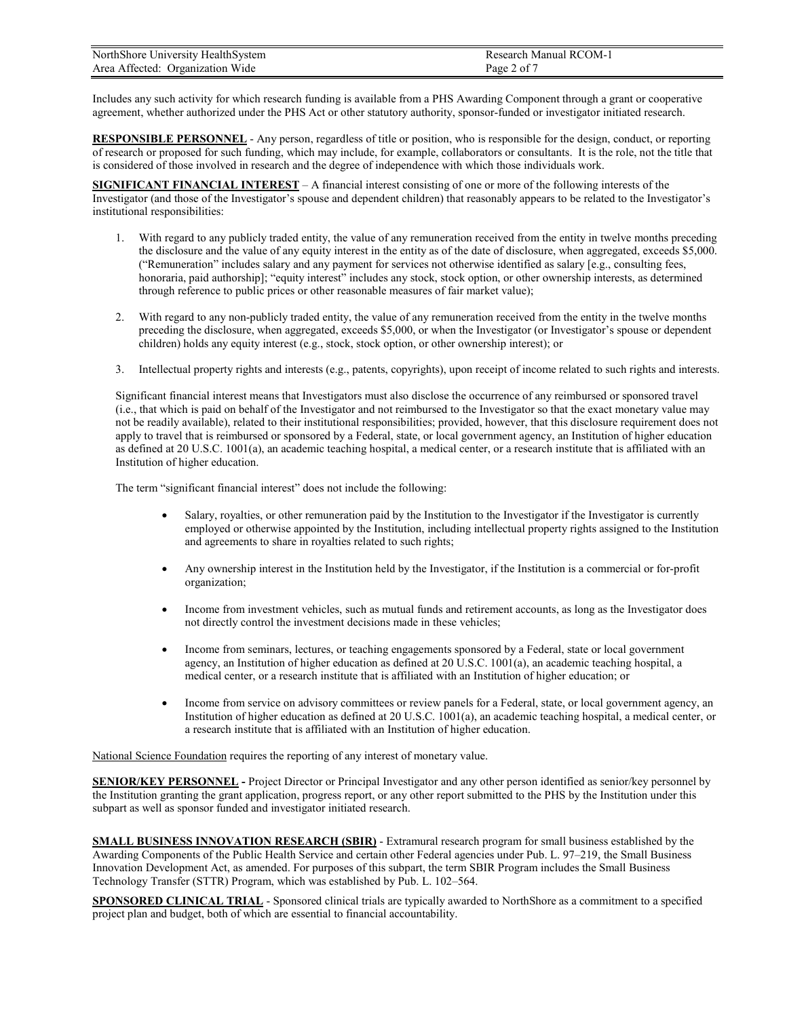| NorthShore University HealthSystem | Research Manual RCOM-1 |
|------------------------------------|------------------------|
| Area Affected: Organization Wide   | Page 2 of 7            |

Includes any such activity for which research funding is available from a PHS Awarding Component through a grant or cooperative agreement, whether authorized under the PHS Act or other statutory authority, sponsor-funded or investigator initiated research.

**RESPONSIBLE PERSONNEL** - Any person, regardless of title or position, who is responsible for the design, conduct, or reporting of research or proposed for such funding, which may include, for example, collaborators or consultants. It is the role, not the title that is considered of those involved in research and the degree of independence with which those individuals work.

**SIGNIFICANT FINANCIAL INTEREST** – A financial interest consisting of one or more of the following interests of the Investigator (and those of the Investigator's spouse and dependent children) that reasonably appears to be related to the Investigator's institutional responsibilities:

- 1. With regard to any publicly traded entity, the value of any remuneration received from the entity in twelve months preceding the disclosure and the value of any equity interest in the entity as of the date of disclosure, when aggregated, exceeds \$5,000. ("Remuneration" includes salary and any payment for services not otherwise identified as salary [e.g., consulting fees, honoraria, paid authorship]; "equity interest" includes any stock, stock option, or other ownership interests, as determined through reference to public prices or other reasonable measures of fair market value);
- 2. With regard to any non-publicly traded entity, the value of any remuneration received from the entity in the twelve months preceding the disclosure, when aggregated, exceeds \$5,000, or when the Investigator (or Investigator's spouse or dependent children) holds any equity interest (e.g., stock, stock option, or other ownership interest); or
- 3. Intellectual property rights and interests (e.g., patents, copyrights), upon receipt of income related to such rights and interests.

Significant financial interest means that Investigators must also disclose the occurrence of any reimbursed or sponsored travel (i.e., that which is paid on behalf of the Investigator and not reimbursed to the Investigator so that the exact monetary value may not be readily available), related to their institutional responsibilities; provided, however, that this disclosure requirement does not apply to travel that is reimbursed or sponsored by a Federal, state, or local government agency, an Institution of higher education as defined at 20 U.S.C. 1001(a), an academic teaching hospital, a medical center, or a research institute that is affiliated with an Institution of higher education.

The term "significant financial interest" does not include the following:

- Salary, royalties, or other remuneration paid by the Institution to the Investigator if the Investigator is currently employed or otherwise appointed by the Institution, including intellectual property rights assigned to the Institution and agreements to share in royalties related to such rights;
- Any ownership interest in the Institution held by the Investigator, if the Institution is a commercial or for-profit organization;
- Income from investment vehicles, such as mutual funds and retirement accounts, as long as the Investigator does not directly control the investment decisions made in these vehicles;
- Income from seminars, lectures, or teaching engagements sponsored by a Federal, state or local government agency, an Institution of higher education as defined at 20 U.S.C. 1001(a), an academic teaching hospital, a medical center, or a research institute that is affiliated with an Institution of higher education; or
- Income from service on advisory committees or review panels for a Federal, state, or local government agency, an Institution of higher education as defined at 20 U.S.C. 1001(a), an academic teaching hospital, a medical center, or a research institute that is affiliated with an Institution of higher education.

National Science Foundation requires the reporting of any interest of monetary value.

**SENIOR/KEY PERSONNEL -** Project Director or Principal Investigator and any other person identified as senior/key personnel by the Institution granting the grant application, progress report, or any other report submitted to the PHS by the Institution under this subpart as well as sponsor funded and investigator initiated research.

**SMALL BUSINESS INNOVATION RESEARCH (SBIR)** - Extramural research program for small business established by the Awarding Components of the Public Health Service and certain other Federal agencies under Pub. L. 97–219, the Small Business Innovation Development Act, as amended. For purposes of this subpart, the term SBIR Program includes the Small Business Technology Transfer (STTR) Program, which was established by Pub. L. 102–564.

**SPONSORED CLINICAL TRIAL** - Sponsored clinical trials are typically awarded to NorthShore as a commitment to a specified project plan and budget, both of which are essential to financial accountability.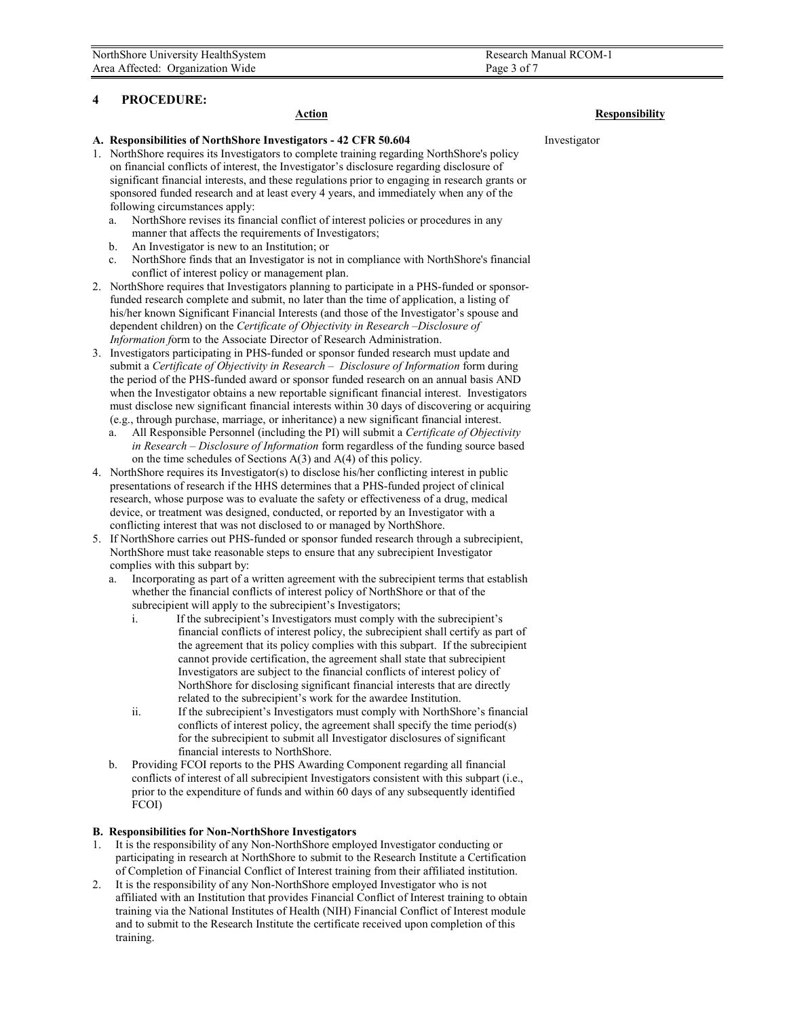# **4 PROCEDURE:**

#### **A. Responsibilities of NorthShore Investigators - 42 CFR 50.604** Investigator

- 1. NorthShore requires its Investigators to complete training regarding NorthShore's policy on financial conflicts of interest, the Investigator's disclosure regarding disclosure of significant financial interests, and these regulations prior to engaging in research grants or sponsored funded research and at least every 4 years, and immediately when any of the following circumstances apply:
	- a. NorthShore revises its financial conflict of interest policies or procedures in any manner that affects the requirements of Investigators;
	- b. An Investigator is new to an Institution; or
	- c. NorthShore finds that an Investigator is not in compliance with NorthShore's financial conflict of interest policy or management plan.
- 2. NorthShore requires that Investigators planning to participate in a PHS-funded or sponsorfunded research complete and submit, no later than the time of application, a listing of his/her known Significant Financial Interests (and those of the Investigator's spouse and dependent children) on the *Certificate of Objectivity in Research* –*Disclosure of Information f*orm to the Associate Director of Research Administration.
- 3. Investigators participating in PHS-funded or sponsor funded research must update and submit a *Certificate of Objectivity in Research – Disclosure of Information* form during the period of the PHS-funded award or sponsor funded research on an annual basis AND when the Investigator obtains a new reportable significant financial interest. Investigators must disclose new significant financial interests within 30 days of discovering or acquiring (e.g., through purchase, marriage, or inheritance) a new significant financial interest.
	- a. All Responsible Personnel (including the PI) will submit a *Certificate of Objectivity in Research – Disclosure of Information* form regardless of the funding source based on the time schedules of Sections A(3) and A(4) of this policy.
- 4. NorthShore requires its Investigator(s) to disclose his/her conflicting interest in public presentations of research if the HHS determines that a PHS-funded project of clinical research, whose purpose was to evaluate the safety or effectiveness of a drug, medical device, or treatment was designed, conducted, or reported by an Investigator with a conflicting interest that was not disclosed to or managed by NorthShore.
- 5. If NorthShore carries out PHS-funded or sponsor funded research through a subrecipient, NorthShore must take reasonable steps to ensure that any subrecipient Investigator complies with this subpart by:
	- a. Incorporating as part of a written agreement with the subrecipient terms that establish whether the financial conflicts of interest policy of NorthShore or that of the subrecipient will apply to the subrecipient's Investigators;
		- i. If the subrecipient's Investigators must comply with the subrecipient's financial conflicts of interest policy, the subrecipient shall certify as part of the agreement that its policy complies with this subpart. If the subrecipient cannot provide certification, the agreement shall state that subrecipient Investigators are subject to the financial conflicts of interest policy of NorthShore for disclosing significant financial interests that are directly related to the subrecipient's work for the awardee Institution.
		- ii. If the subrecipient's Investigators must comply with NorthShore's financial conflicts of interest policy, the agreement shall specify the time period(s) for the subrecipient to submit all Investigator disclosures of significant financial interests to NorthShore.
	- b. Providing FCOI reports to the PHS Awarding Component regarding all financial conflicts of interest of all subrecipient Investigators consistent with this subpart (i.e., prior to the expenditure of funds and within 60 days of any subsequently identified FCOI)

#### **B. Responsibilities for Non-NorthShore Investigators**

- 1. It is the responsibility of any Non-NorthShore employed Investigator conducting or participating in research at NorthShore to submit to the Research Institute a Certification of Completion of Financial Conflict of Interest training from their affiliated institution.
- 2. It is the responsibility of any Non-NorthShore employed Investigator who is not affiliated with an Institution that provides Financial Conflict of Interest training to obtain training via the National Institutes of Health (NIH) Financial Conflict of Interest module and to submit to the Research Institute the certificate received upon completion of this training.

#### **Action Responsibility**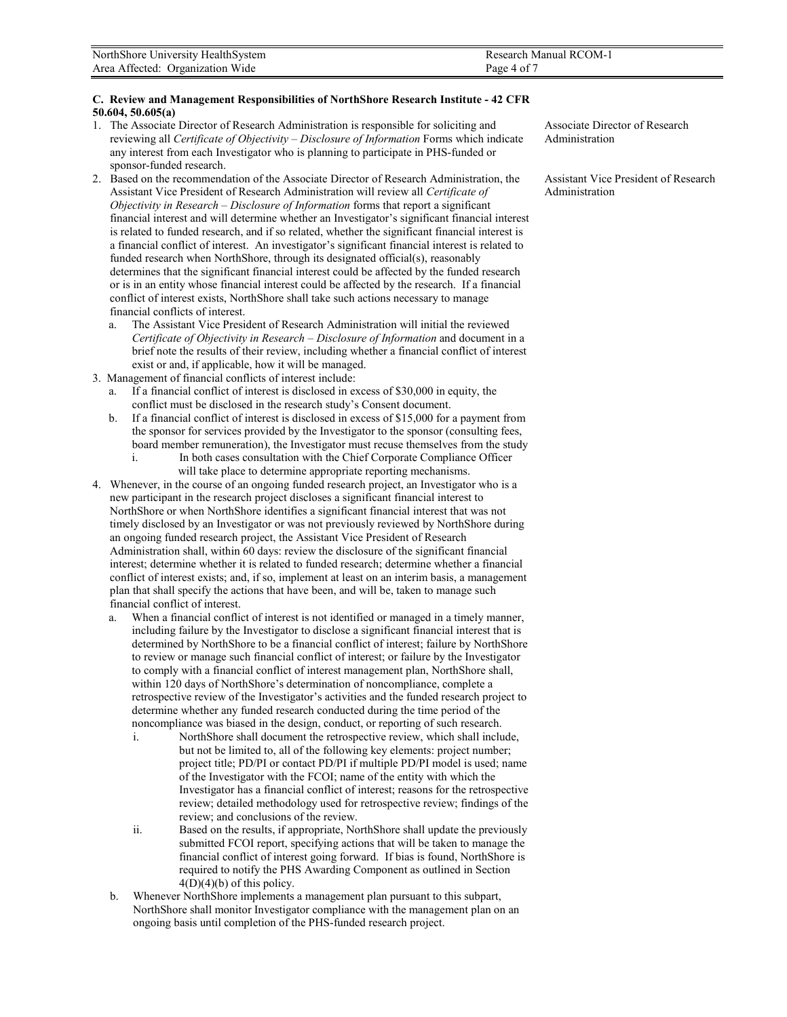| NorthShore University HealthSystem | Research Manual RCOM-1 |
|------------------------------------|------------------------|
|                                    |                        |
| Area Affected: Organization Wide   | Page 4 of 7            |
|                                    |                        |

#### **C. Review and Management Responsibilities of NorthShore Research Institute - 42 CFR 50.604, 50.605(a)**

- 1. The Associate Director of Research Administration is responsible for soliciting and reviewing all *Certificate of Objectivity – Disclosure of Information* Forms which indicate any interest from each Investigator who is planning to participate in PHS-funded or sponsor-funded research.
- 2. Based on the recommendation of the Associate Director of Research Administration, the Assistant Vice President of Research Administration will review all *Certificate of Objectivity in Research – Disclosure of Information* forms that report a significant financial interest and will determine whether an Investigator's significant financial interest is related to funded research, and if so related, whether the significant financial interest is a financial conflict of interest. An investigator's significant financial interest is related to funded research when NorthShore, through its designated official(s), reasonably determines that the significant financial interest could be affected by the funded research or is in an entity whose financial interest could be affected by the research. If a financial conflict of interest exists, NorthShore shall take such actions necessary to manage financial conflicts of interest.
	- a. The Assistant Vice President of Research Administration will initial the reviewed *Certificate of Objectivity in Research – Disclosure of Information* and document in a brief note the results of their review, including whether a financial conflict of interest exist or and, if applicable, how it will be managed.
- 3. Management of financial conflicts of interest include:
	- a. If a financial conflict of interest is disclosed in excess of \$30,000 in equity, the conflict must be disclosed in the research study's Consent document.
	- b. If a financial conflict of interest is disclosed in excess of \$15,000 for a payment from the sponsor for services provided by the Investigator to the sponsor (consulting fees, board member remuneration), the Investigator must recuse themselves from the study
		- i. In both cases consultation with the Chief Corporate Compliance Officer will take place to determine appropriate reporting mechanisms.
- 4. Whenever, in the course of an ongoing funded research project, an Investigator who is a new participant in the research project discloses a significant financial interest to NorthShore or when NorthShore identifies a significant financial interest that was not timely disclosed by an Investigator or was not previously reviewed by NorthShore during an ongoing funded research project, the Assistant Vice President of Research Administration shall, within 60 days: review the disclosure of the significant financial interest; determine whether it is related to funded research; determine whether a financial conflict of interest exists; and, if so, implement at least on an interim basis, a management plan that shall specify the actions that have been, and will be, taken to manage such financial conflict of interest.
	- a. When a financial conflict of interest is not identified or managed in a timely manner, including failure by the Investigator to disclose a significant financial interest that is determined by NorthShore to be a financial conflict of interest; failure by NorthShore to review or manage such financial conflict of interest; or failure by the Investigator to comply with a financial conflict of interest management plan, NorthShore shall, within 120 days of NorthShore's determination of noncompliance, complete a retrospective review of the Investigator's activities and the funded research project to determine whether any funded research conducted during the time period of the noncompliance was biased in the design, conduct, or reporting of such research.
		- i. NorthShore shall document the retrospective review, which shall include, but not be limited to, all of the following key elements: project number; project title; PD/PI or contact PD/PI if multiple PD/PI model is used; name of the Investigator with the FCOI; name of the entity with which the Investigator has a financial conflict of interest; reasons for the retrospective review; detailed methodology used for retrospective review; findings of the review; and conclusions of the review.
		- ii. Based on the results, if appropriate, NorthShore shall update the previously submitted FCOI report, specifying actions that will be taken to manage the financial conflict of interest going forward. If bias is found, NorthShore is required to notify the PHS Awarding Component as outlined in Section  $4(D)(4)(b)$  of this policy.
	- b. Whenever NorthShore implements a management plan pursuant to this subpart, NorthShore shall monitor Investigator compliance with the management plan on an ongoing basis until completion of the PHS-funded research project.

Associate Director of Research Administration

Assistant Vice President of Research Administration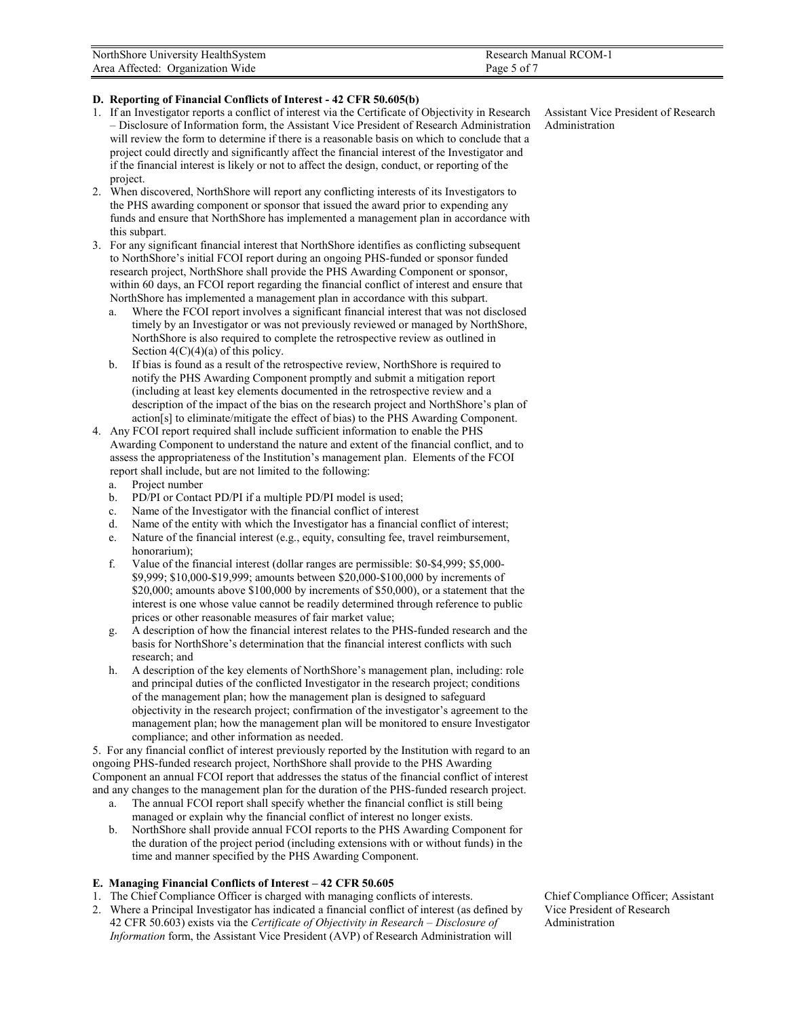| NorthShore University HealthSystem | Research Manual RCOM-1 |
|------------------------------------|------------------------|
| Area Affected: Organization Wide   | Page 5 of 7            |

### **D. Reporting of Financial Conflicts of Interest - 42 CFR 50.605(b)**

- 1. If an Investigator reports a conflict of interest via the Certificate of Objectivity in Research – Disclosure of Information form, the Assistant Vice President of Research Administration will review the form to determine if there is a reasonable basis on which to conclude that a project could directly and significantly affect the financial interest of the Investigator and if the financial interest is likely or not to affect the design, conduct, or reporting of the project.
- 2. When discovered, NorthShore will report any conflicting interests of its Investigators to the PHS awarding component or sponsor that issued the award prior to expending any funds and ensure that NorthShore has implemented a management plan in accordance with this subpart.
- 3. For any significant financial interest that NorthShore identifies as conflicting subsequent to NorthShore's initial FCOI report during an ongoing PHS-funded or sponsor funded research project, NorthShore shall provide the PHS Awarding Component or sponsor, within 60 days, an FCOI report regarding the financial conflict of interest and ensure that NorthShore has implemented a management plan in accordance with this subpart.
	- a. Where the FCOI report involves a significant financial interest that was not disclosed timely by an Investigator or was not previously reviewed or managed by NorthShore, NorthShore is also required to complete the retrospective review as outlined in Section  $4(C)(4)(a)$  of this policy.
	- b. If bias is found as a result of the retrospective review, NorthShore is required to notify the PHS Awarding Component promptly and submit a mitigation report (including at least key elements documented in the retrospective review and a description of the impact of the bias on the research project and NorthShore's plan of action[s] to eliminate/mitigate the effect of bias) to the PHS Awarding Component.
- 4. Any FCOI report required shall include sufficient information to enable the PHS Awarding Component to understand the nature and extent of the financial conflict, and to assess the appropriateness of the Institution's management plan. Elements of the FCOI report shall include, but are not limited to the following:
	- a. Project number
	- b. PD/PI or Contact PD/PI if a multiple PD/PI model is used;
	- c. Name of the Investigator with the financial conflict of interest
	- d. Name of the entity with which the Investigator has a financial conflict of interest;
	- e. Nature of the financial interest (e.g., equity, consulting fee, travel reimbursement, honorarium);
	- f. Value of the financial interest (dollar ranges are permissible: \$0-\$4,999; \$5,000- \$9,999; \$10,000-\$19,999; amounts between \$20,000-\$100,000 by increments of \$20,000; amounts above \$100,000 by increments of \$50,000), or a statement that the interest is one whose value cannot be readily determined through reference to public prices or other reasonable measures of fair market value;
	- g. A description of how the financial interest relates to the PHS-funded research and the basis for NorthShore's determination that the financial interest conflicts with such research; and
	- h. A description of the key elements of NorthShore's management plan, including: role and principal duties of the conflicted Investigator in the research project; conditions of the management plan; how the management plan is designed to safeguard objectivity in the research project; confirmation of the investigator's agreement to the management plan; how the management plan will be monitored to ensure Investigator compliance; and other information as needed.

5. For any financial conflict of interest previously reported by the Institution with regard to an ongoing PHS-funded research project, NorthShore shall provide to the PHS Awarding Component an annual FCOI report that addresses the status of the financial conflict of interest and any changes to the management plan for the duration of the PHS-funded research project.

- a. The annual FCOI report shall specify whether the financial conflict is still being managed or explain why the financial conflict of interest no longer exists.
- b. NorthShore shall provide annual FCOI reports to the PHS Awarding Component for the duration of the project period (including extensions with or without funds) in the time and manner specified by the PHS Awarding Component.

### **E. Managing Financial Conflicts of Interest – 42 CFR 50.605**

- 1. The Chief Compliance Officer is charged with managing conflicts of interests. Chief Compliance Officer; Assistant
- 2. Where a Principal Investigator has indicated a financial conflict of interest (as defined by 42 CFR 50.603) exists via the *Certificate of Objectivity in Research – Disclosure of Information* form, the Assistant Vice President (AVP) of Research Administration will

Assistant Vice President of Research Administration

Vice President of Research Administration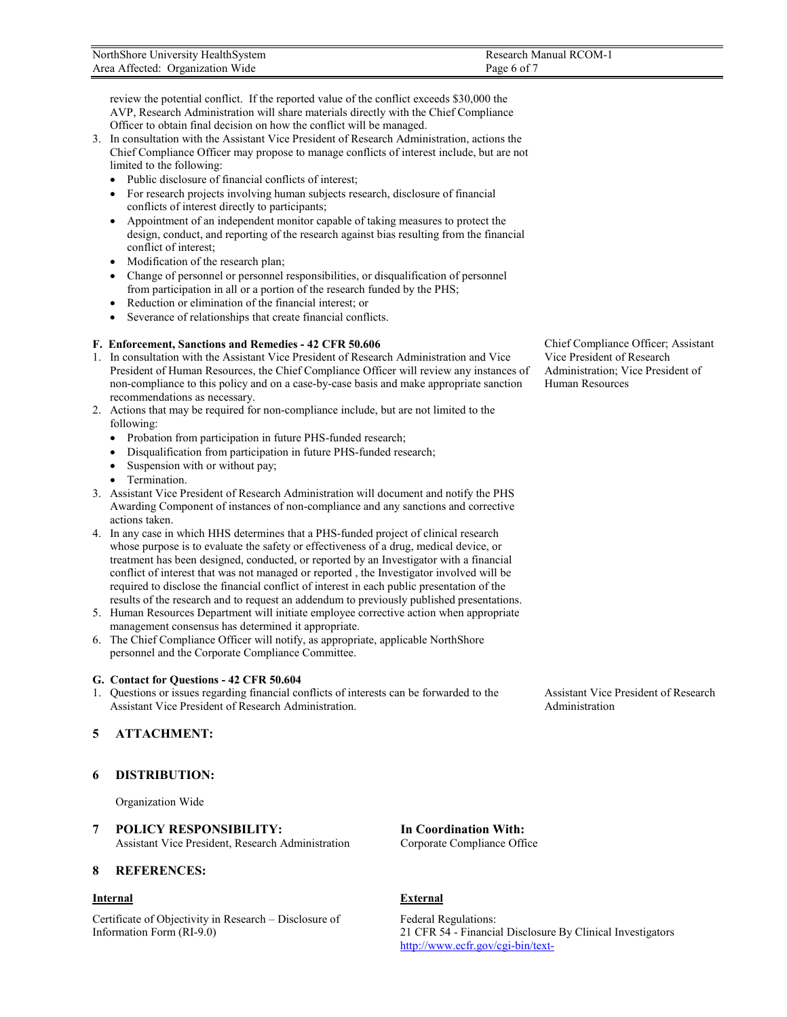| NorthShore University HealthSystem | Research Manual RCOM-1 |
|------------------------------------|------------------------|
| Area Affected: Organization Wide   | Page 6 of 7            |

review the potential conflict. If the reported value of the conflict exceeds \$30,000 the AVP, Research Administration will share materials directly with the Chief Compliance Officer to obtain final decision on how the conflict will be managed.

- 3. In consultation with the Assistant Vice President of Research Administration, actions the Chief Compliance Officer may propose to manage conflicts of interest include, but are not limited to the following:
	- Public disclosure of financial conflicts of interest;
	- For research projects involving human subjects research, disclosure of financial conflicts of interest directly to participants;
	- Appointment of an independent monitor capable of taking measures to protect the design, conduct, and reporting of the research against bias resulting from the financial conflict of interest;
	- Modification of the research plan;
	- Change of personnel or personnel responsibilities, or disqualification of personnel from participation in all or a portion of the research funded by the PHS;
	- Reduction or elimination of the financial interest; or
	- Severance of relationships that create financial conflicts.

### **F. Enforcement, Sanctions and Remedies - 42 CFR 50.606** Chief Compliance Officer; Assistant

- 1. In consultation with the Assistant Vice President of Research Administration and Vice President of Human Resources, the Chief Compliance Officer will review any instances of non-compliance to this policy and on a case-by-case basis and make appropriate sanction recommendations as necessary.
- 2. Actions that may be required for non-compliance include, but are not limited to the following:
	- Probation from participation in future PHS-funded research;
	- Disqualification from participation in future PHS-funded research;
	- Suspension with or without pay;
	- Termination.
- 3. Assistant Vice President of Research Administration will document and notify the PHS Awarding Component of instances of non-compliance and any sanctions and corrective actions taken.
- 4. In any case in which HHS determines that a PHS-funded project of clinical research whose purpose is to evaluate the safety or effectiveness of a drug, medical device, or treatment has been designed, conducted, or reported by an Investigator with a financial conflict of interest that was not managed or reported , the Investigator involved will be required to disclose the financial conflict of interest in each public presentation of the results of the research and to request an addendum to previously published presentations.
- 5. Human Resources Department will initiate employee corrective action when appropriate management consensus has determined it appropriate.
- 6. The Chief Compliance Officer will notify, as appropriate, applicable NorthShore personnel and the Corporate Compliance Committee.

### **G. Contact for Questions - 42 CFR 50.604**

1. Questions or issues regarding financial conflicts of interests can be forwarded to the Assistant Vice President of Research Administration.

# **5 ATTACHMENT:**

# **6 DISTRIBUTION:**

Organization Wide

### **7 POLICY RESPONSIBILITY:** Assistant Vice President, Research Administration

# **8 REFERENCES:**

### **Internal External**

Certificate of Objectivity in Research – Disclosure of Information Form (RI-9.0)

**In Coordination With:** Corporate Compliance Office

Federal Regulations: 21 CFR 54 - Financial Disclosure By Clinical Investigators [http://www.ecfr.gov/cgi-bin/text-](http://www.ecfr.gov/cgi-bin/text-idx?SID=41966c91f8c2138877831a3ac041219d&node=pt21.1.54&rgn=div5)

Vice President of Research Administration; Vice President of Human Resources

Assistant Vice President of Research Administration